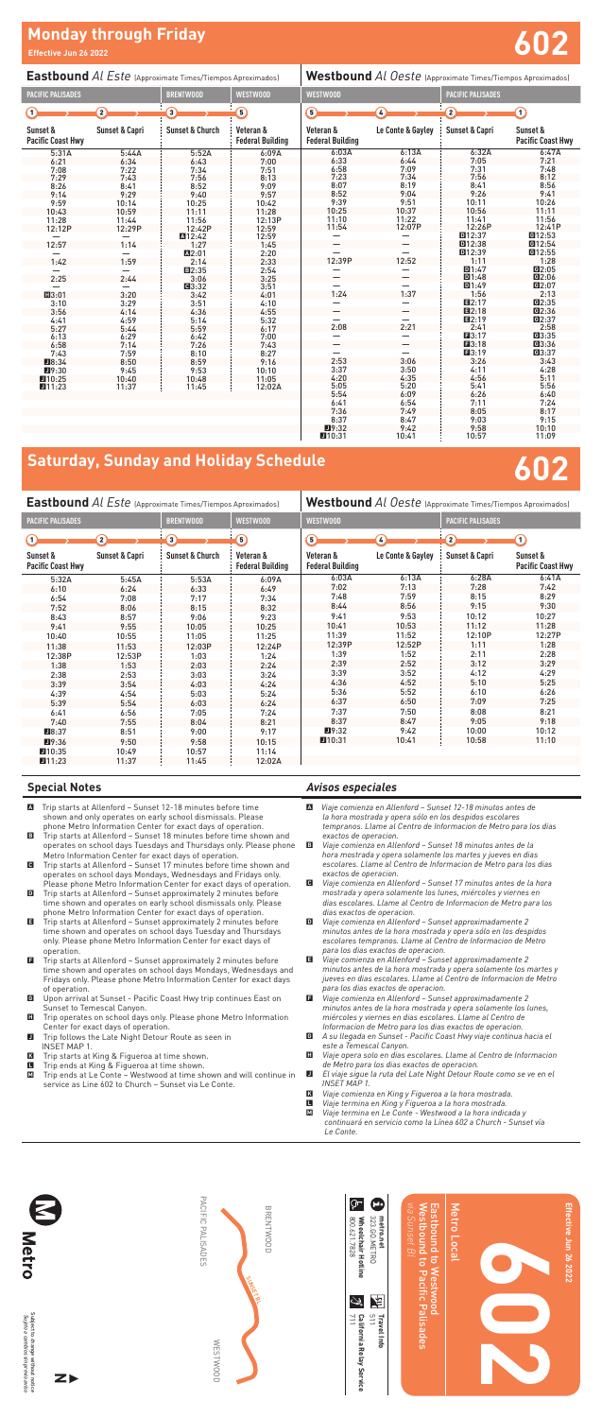| <b>Eastbound</b> Al Este (Approximate Times/Tiempos Aproximados) |                           |                            |                                      | <b>Westbound</b> Al Oeste (Approximate Times/Tiempos Aproximados) |                   |                           |                                      |  |
|------------------------------------------------------------------|---------------------------|----------------------------|--------------------------------------|-------------------------------------------------------------------|-------------------|---------------------------|--------------------------------------|--|
| <b>PACIFIC PALISADES</b>                                         |                           | <b>BRENTWOOD</b>           | <b>WESTWOOD</b>                      | <b>WESTWOOD</b>                                                   |                   | <b>PACIFIC PALISADES</b>  |                                      |  |
| T                                                                | $\boxed{2}$               | Э                          | ධ                                    | G                                                                 | $\sqrt{4}$        | $\left( 2\right)$         | $\Omega$                             |  |
| Sunset &<br><b>Pacific Coast Hwy</b>                             | <b>Sunset &amp; Capri</b> | <b>Sunset &amp; Church</b> | Veteran &<br><b>Federal Building</b> | Veteran &<br><b>Federal Building</b>                              | Le Conte & Gavlev | <b>Sunset &amp; Capri</b> | Sunset &<br><b>Pacific Coast Hwy</b> |  |
| 5:31A                                                            | 5:44A                     | 5:52A                      | 6:09A                                | 6:03A                                                             | 6:13A             | 6:32A                     | 6:47A                                |  |
| 6:21                                                             | 6:34                      | 6:43                       | 7:00                                 | 6:33                                                              | 6:44              | 7:05                      | 7:21                                 |  |
| 7:08                                                             | 7:22                      | 7:34                       | 7:51                                 | 6:58                                                              | 7:09              | 7:31                      | 7:48                                 |  |
| 7:29                                                             | 7:43                      | 7:56                       | 8:13                                 | 7:23                                                              | 7:34              | 7:56                      | 8:12                                 |  |
| 8:26                                                             | 8:41                      | 8:52                       | 9:09                                 | 8:07                                                              | 8:19              | 8:41                      | 8:56                                 |  |
| 9:14                                                             | 9:29                      | 9:40                       | 9:57                                 | 8:52                                                              | 9:04              | 9:26                      | 9:41                                 |  |
| 9:59                                                             | 10:14                     | 10:25                      | 10:42                                | 9:39                                                              | 9:51              | 10:11                     | 10:26                                |  |
| 10:43                                                            | 10:59                     | 11:11                      | 11:28                                | 10:25                                                             | 10:37             | 10:56                     | 11:11                                |  |
| 11:28                                                            | 11:44                     | 11:56                      | 12:13P                               | 11:10                                                             | 11:22             | 11:41                     | 11:56                                |  |
| 12:12P                                                           | 12:29P                    | 12:42P                     | 12:59                                | 11:54                                                             | 12:07P            | 12:26P                    | 12:41P                               |  |
|                                                                  |                           | A12:42                     | 12:59                                |                                                                   |                   | D12:37                    | G12:53                               |  |
| 12:57                                                            | 1:14                      | 1:27                       | 1:45                                 |                                                                   |                   | 回12:38                    | G <sub>12:54</sub>                   |  |
|                                                                  |                           | A <sub>2:01</sub>          | 2:20                                 |                                                                   |                   | 回12:39                    | G12:55                               |  |
| 1:42                                                             | 1:59                      | 2:14                       | 2:33                                 | 12:39P                                                            | 12:52             | 1:11                      | 1:28                                 |  |
|                                                                  |                           | ■2:35                      | 2:54                                 |                                                                   |                   | D1:47                     | 02:05                                |  |
| 2:25                                                             | 2:44                      | 3:06                       | 3:25                                 |                                                                   |                   | D1:48                     | Q2:06                                |  |
|                                                                  |                           | <b>回3:32</b>               | 3:51                                 |                                                                   |                   | 回1:49                     | G2:07                                |  |
| ■3:01                                                            | 3:20                      | 3:42                       | 4:01                                 | 1:24                                                              | 1:37              | 1:56                      | 2:13                                 |  |
| 3:10                                                             | 3:29                      | 3:51                       | 4:10                                 |                                                                   |                   | ■2:17                     | Q:35                                 |  |
| 3:56                                                             | 4:14                      | 4:36                       | 4:55                                 |                                                                   |                   | $\Pi2:18$                 | Q2:36                                |  |
| 4:41                                                             | 4:59                      | 5:14                       | 5:32                                 |                                                                   |                   | <b>El2:19</b>             | <b>@2:37</b>                         |  |
| 5:27                                                             | 5:44                      | 5:59                       | 6:17                                 | 2:08                                                              | 2:21              | 2:41                      | 2:58                                 |  |
| 6:13                                                             | 6:29                      | 6:42                       | 7:00                                 |                                                                   |                   | $\Pi$ 3:17                | G3:35                                |  |
| 6:58                                                             | 7:14                      | 7:26                       | 7:43                                 |                                                                   |                   | $\Box 3:18$               | <b>@3:36</b>                         |  |
| 7:43                                                             | 7:59                      | 8:10                       | 8:27                                 |                                                                   |                   | ■3:19                     | <b>G3:37</b>                         |  |
| ■8:34                                                            | 8:50                      | 8:59                       | 9:16                                 | 2:53                                                              | 3:06              | 3:26                      | 3:43                                 |  |
| 19:30                                                            | 9:45                      | 9:53                       | 10:10                                | 3:37                                                              | 3:50              | 4:11                      | 4:28                                 |  |
| 10:25                                                            | 10:40                     | 10:48                      | 11:05                                | 4:20                                                              | 4:35              | 4:56                      | 5:11                                 |  |
| 111:23                                                           | 11:37                     | 11:45                      | 12:02A                               | 5:05                                                              | 5:20              | 5:41                      | 5:56                                 |  |
|                                                                  |                           |                            |                                      | 5:54                                                              | 6:09              | 6:26                      | 6:40                                 |  |

Subject to change without notice<br>Subjeto a cambios sin previo aviso Subject to change without notice *Sujeto a cambios sin previo aviso*

**Metro** 

- A Trip starts at Allenford Sunset 12-18 minutes before time shown and only operates on early school dismissals. Please phone Metro Information Center for exact days of operation.
- B Trip starts at Allenford Sunset 18 minutes before time shown and operates on school days Tuesdays and Thursdays only. Please phone Metro Information Center for exact days of operation.
- C Trip starts at Allenford Sunset 17 minutes before time shown and operates on school days Mondays, Wednesdays and Fridays only. Please phone Metro Information Center for exact days of operation.
- D Trip starts at Allenford Sunset approximately 2 minutes before time shown and operates on early school dismissals only. Please phone Metro Information Center for exact days of operation.
- E Trip starts at Allenford Sunset approximately 2 minutes before time shown and operates on school days Tuesday and Thursdays only. Please phone Metro Information Center for exact days of operation.
- **E** Trip starts at Allenford Sunset approximately 2 minutes before time shown and operates on school days Mondays, Wednesdays and Fridays only. Please phone Metro Information Center for exact days of operation.
- G Upon arrival at Sunset Pacific Coast Hwy trip continues East on Sunset to Temescal Canyon.
- **H** Trip operates on school days only. Please phone Metro Information Center for exact days of operation.
- J Trip follows the Late Night Detour Route as seen in INSET MAP 1.
- **K** Trip starts at King & Figueroa at time shown.<br> **E** Trip ends at King & Figueroa at time shown.
- Trip ends at King & Figueroa at time shown.

6:41 6:54 7:11 7:24 7:36 7:49 8:05 8:17 8:37 8:47 9:03 9:15 J9:32 9:42 9:58 10:10 J10:31 10:41 10:57 11:09

# **Monday through Friday Effective Jun 26 2022 602**





PACIFIC PALISADES

PACIFIC PALISADES

WESTWOOD

**MESTWOOD** 

BRENTWOOD

**BRENTWOOD** 

SUNSET BL

### **Special Notes**

M Trip ends at Le Conte – Westwood at time shown and will continue in service as Line 602 to Church – Sunset via Le Conte.

*Avisos especiales*

A *Viaje comienza en Allenford – Sunset 12-18 minutos antes de la hora mostrada y opera sólo en los despidos escolares tempranos. Llame al Centro de Informacion de Metro para los dias exactos de operacion.*

- B *Viaje comienza en Allenford Sunset 18 minutos antes de la hora mostrada y opera solamente los martes y jueves en dias escolares. Llame al Centro de Informacion de Metro para los dias exactos de operacion.*
- C *Viaje comienza en Allenford Sunset 17 minutos antes de la hora mostrada y opera solamente los lunes, miércoles y viernes en dias escolares. Llame al Centro de Informacion de Metro para los dias exactos de operacion.*
- D *Viaje comienza en Allenford Sunset approximadamente 2 minutos antes de la hora mostrada y opera sólo en los despidos escolares tempranos. Llame al Centro de Informacion de Metro para los dias exactos de operacion.*
- E *Viaje comienza en Allenford Sunset approximadamente 2 minutos antes de la hora mostrada y opera solamente los martes y jueves en dias escolares. Llame al Centro de Informacion de Metro para los dias exactos de operacion.*
- F *Viaje comienza en Allenford Sunset approximadamente 2 minutos antes de la hora mostrada y opera solamente los lunes, miércoles y viernes en dias escolares. Llame al Centro de Informacion de Metro para los dias exactos de operacion.*
- G *A su llegada en Sunset Pacific Coast Hwy viaje continua hacia el este a Temescal Canyon.*
- H *Viaje opera solo en dias escolares. Llame al Centro de Informacion de Metro para los dias exactos de operacion.*
	-
- J *El viaje sigue la ruta del Late Night Detour Route como se ve en el INSET MAP 1.*
- K *Viaje comienza en King y Figueroa a la hora mostrada.*
- L *Viaje termina en King y Figueroa a la hora mostrada.*
- M *Viaje termina en Le Conte Westwood a la hora indicada y continuará en servicio como la Línea 602 a Church - Sunset vía Le Conte.*

| <b>Eastbound Al Este (Approximate Times/Tiempos Aproximados)</b> |                           |                            |                                      | Westbound Al Oeste (Approximate Times/Tiempos Aproximados) |                   |                           |                                      |  |  |
|------------------------------------------------------------------|---------------------------|----------------------------|--------------------------------------|------------------------------------------------------------|-------------------|---------------------------|--------------------------------------|--|--|
| <b>PACIFIC PALISADES</b>                                         |                           | <b>BRENTWOOD</b>           | <b>WESTWOOD</b>                      | <b>WESTWOOD</b>                                            |                   | <b>PACIFIC PALISADES</b>  |                                      |  |  |
| ∩                                                                | $\mathbf{2}$              | ∩                          | ි)                                   | ெ<br>$\overline{4}$                                        |                   | $\Omega$                  | ⋒                                    |  |  |
| Sunset &<br><b>Pacific Coast Hwy</b>                             | <b>Sunset &amp; Capri</b> | <b>Sunset &amp; Church</b> | Veteran &<br><b>Federal Building</b> | Veteran &<br><b>Federal Building</b>                       | Le Conte & Gayley | <b>Sunset &amp; Capri</b> | Sunset &<br><b>Pacific Coast Hwy</b> |  |  |
| 5:32A                                                            | 5:45A                     | 5:53A                      | 6:09A                                | 6:03A                                                      | 6:13A             | 6:28A                     | 6:41A                                |  |  |
| 6:10                                                             | 6:24                      | 6:33                       | 6:49                                 | 7:02                                                       | 7:13              | 7:28                      | 7:42                                 |  |  |
| 6:54                                                             | 7:08                      | 7:17                       | 7:34                                 | 7:48                                                       | 7:59              | 8:15                      | 8:29                                 |  |  |
| 7:52                                                             | 8:06                      | 8:15                       | 8:32                                 | 8:44                                                       | 8:56              | 9:15                      | 9:30                                 |  |  |
| 8:43                                                             | 8:57                      | 9:06                       | 9:23                                 | 9:41                                                       | 9:53              | 10:12                     | 10:27                                |  |  |
| 9:41                                                             | 9:55                      | 10:05                      | 10:25                                | 10:41                                                      | 10:53             | 11:12                     | 11:28                                |  |  |
| 10:40                                                            | 10:55                     | 11:05                      | 11:25                                | 11:39                                                      | 11:52             | 12:10P                    | 12:27P                               |  |  |
| 11:38                                                            | 11:53                     | 12:03P                     | 12:24P                               | 12:39P                                                     | 12:52P            | 1:11                      | 1:28                                 |  |  |
| 12:38P                                                           | 12:53P                    | 1:03                       | 1:24                                 | 1:39                                                       | 1:52              | 2:11                      | 2:28                                 |  |  |
| 1:38                                                             | 1:53                      | 2:03                       | 2:24                                 | 2:39                                                       | 2:52              | 3:12                      | 3:29                                 |  |  |
| 2:38                                                             | 2:53                      | 3:03                       | 3:24                                 | 3:39                                                       | 3:52              | 4:12                      | 4:29                                 |  |  |
| 3:39                                                             | 3:54                      | 4:03                       | 4:24                                 | 4:36                                                       | 4:52              | 5:10                      | 5:25                                 |  |  |
| 4:39                                                             | 4:54                      | 5:03                       | 5:24                                 | 5:36                                                       | 5:52              | 6:10                      | 6:26                                 |  |  |
| 5:39                                                             | 5:54                      | 6:03                       | 6:24                                 | 6:37                                                       | 6:50              | 7:09                      | 7:25                                 |  |  |
| 6:41                                                             | 6:56                      | 7:05                       | 7:24                                 | 7:37                                                       | 7:50              | 8:08                      | 8:21                                 |  |  |
| 7:40                                                             | 7:55                      | 8:04                       | 8:21                                 | 8:37                                                       | 8:47              | 9:05                      | 9:18                                 |  |  |
| $\blacksquare$ 8:37                                              | 8:51                      | 9:00                       | 9:17                                 | $\blacksquare$ 9:32                                        | 9:42              | 10:00                     | 10:12                                |  |  |
| ■9:36                                                            | 9:50                      | 9:58                       | 10:15                                | 110:31                                                     | 10:41             | 10:58                     | 11:10                                |  |  |
| 110:35                                                           | 10:49                     | 10:57                      | 11:14                                |                                                            |                   |                           |                                      |  |  |
| 111:23                                                           | 11:37                     | 11:45                      | 12:02A                               |                                                            |                   |                           |                                      |  |  |

## **Saturday, Sunday and Holiday Schedule 602**